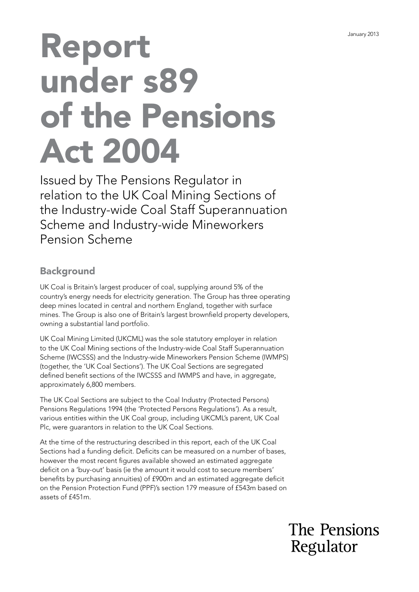# Report under s89 of the Pensions Act 2004

Issued by The Pensions Regulator in relation to the UK Coal Mining Sections of the Industry-wide Coal Staff Superannuation Scheme and Industry-wide Mineworkers Pension Scheme

# **Background**

UK Coal is Britain's largest producer of coal, supplying around 5% of the country's energy needs for electricity generation. The Group has three operating deep mines located in central and northern England, together with surface mines. The Group is also one of Britain's largest brownfeld property developers, owning a substantial land portfolio.

UK Coal Mining Limited (UKCML) was the sole statutory employer in relation to the UK Coal Mining sections of the Industry-wide Coal Staff Superannuation Scheme (IWCSSS) and the Industry-wide Mineworkers Pension Scheme (IWMPS) (together, the 'UK Coal Sections'). The UK Coal Sections are segregated defined benefit sections of the IWCSSS and IWMPS and have, in aggregate, approximately 6,800 members.

The UK Coal Sections are subject to the Coal Industry (Protected Persons) Pensions Regulations 1994 (the 'Protected Persons Regulations'). As a result, various entities within the UK Coal group, including UKCML's parent, UK Coal Plc, were guarantors in relation to the UK Coal Sections.

At the time of the restructuring described in this report, each of the UK Coal Sections had a funding deficit. Deficits can be measured on a number of bases, however the most recent figures available showed an estimated aggregate deficit on a 'buy-out' basis (ie the amount it would cost to secure members' benefts by purchasing annuities) of £900m and an estimated aggregate defcit on the Pension Protection Fund (PPF)'s section 179 measure of £543m based on assets of £451m.

> The Pensions Regulator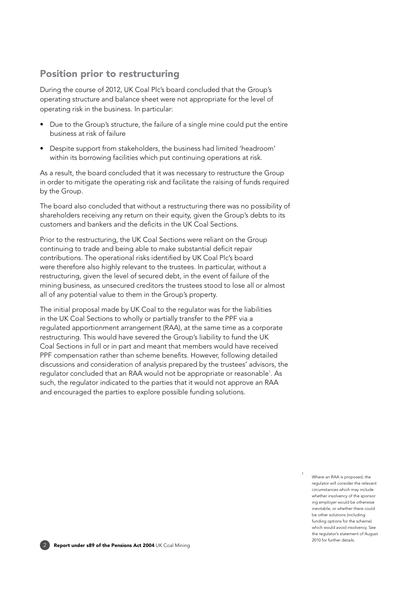## Position prior to restructuring

During the course of 2012, UK Coal Plc's board concluded that the Group's operating structure and balance sheet were not appropriate for the level of operating risk in the business. In particular:

- Due to the Group's structure, the failure of a single mine could put the entire business at risk of failure
- Despite support from stakeholders, the business had limited 'headroom' within its borrowing facilities which put continuing operations at risk.

As a result, the board concluded that it was necessary to restructure the Group in order to mitigate the operating risk and facilitate the raising of funds required by the Group.

The board also concluded that without a restructuring there was no possibility of shareholders receiving any return on their equity, given the Group's debts to its customers and bankers and the deficits in the UK Coal Sections.

Prior to the restructuring, the UK Coal Sections were reliant on the Group continuing to trade and being able to make substantial deficit repair contributions. The operational risks identifed by UK Coal Plc's board were therefore also highly relevant to the trustees. In particular, without a restructuring, given the level of secured debt, in the event of failure of the mining business, as unsecured creditors the trustees stood to lose all or almost all of any potential value to them in the Group's property.

The initial proposal made by UK Coal to the regulator was for the liabilities in the UK Coal Sections to wholly or partially transfer to the PPF via a regulated apportionment arrangement (RAA), at the same time as a corporate restructuring. This would have severed the Group's liability to fund the UK Coal Sections in full or in part and meant that members would have received PPF compensation rather than scheme benefits. However, following detailed discussions and consideration of analysis prepared by the trustees' advisors, the regulator concluded that an RAA would not be appropriate or reasonable1 . As such, the regulator indicated to the parties that it would not approve an RAA and encouraged the parties to explore possible funding solutions.

> 1 Where an RAA is proposed, the regulator will consider the relevant circumstances which may include whether insolvency of the sponsor ing employer would be otherwise inevitable, or whether there could be other solutions (including funding options for the scheme) which would avoid insolvency. See the regulator's statement of August 2010 for further details.

2 Report under s89 of the Pensions Act 2004 UK Coal Mining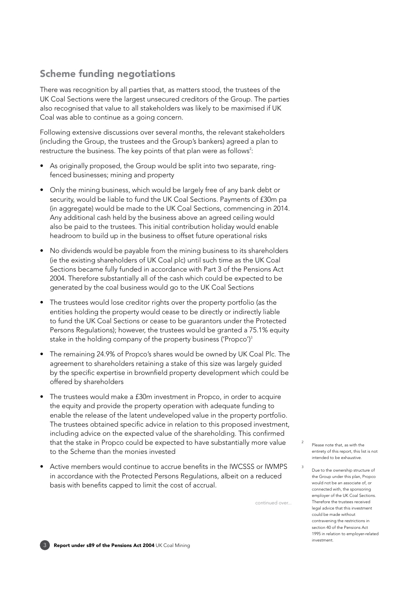# Scheme funding negotiations

There was recognition by all parties that, as matters stood, the trustees of the UK Coal Sections were the largest unsecured creditors of the Group. The parties also recognised that value to all stakeholders was likely to be maximised if UK Coal was able to continue as a going concern.

Following extensive discussions over several months, the relevant stakeholders (including the Group, the trustees and the Group's bankers) agreed a plan to restructure the business. The key points of that plan were as follows<sup>2</sup>:

- • As originally proposed, the Group would be split into two separate, ringfenced businesses; mining and property
- Only the mining business, which would be largely free of any bank debt or security, would be liable to fund the UK Coal Sections. Payments of £30m pa (in aggregate) would be made to the UK Coal Sections, commencing in 2014. Any additional cash held by the business above an agreed ceiling would also be paid to the trustees. This initial contribution holiday would enable headroom to build up in the business to offset future operational risks
- No dividends would be payable from the mining business to its shareholders (ie the existing shareholders of UK Coal plc) until such time as the UK Coal Sections became fully funded in accordance with Part 3 of the Pensions Act 2004. Therefore substantially all of the cash which could be expected to be generated by the coal business would go to the UK Coal Sections
- The trustees would lose creditor rights over the property portfolio (as the entities holding the property would cease to be directly or indirectly liable to fund the UK Coal Sections or cease to be guarantors under the Protected Persons Regulations); however, the trustees would be granted a 75.1% equity stake in the holding company of the property business ('Propco')<sup>3</sup>
- The remaining 24.9% of Propco's shares would be owned by UK Coal Plc. The agreement to shareholders retaining a stake of this size was largely guided by the specific expertise in brownfield property development which could be offered by shareholders
- The trustees would make a £30m investment in Propco, in order to acquire the equity and provide the property operation with adequate funding to enable the release of the latent undeveloped value in the property portfolio. The trustees obtained specific advice in relation to this proposed investment, including advice on the expected value of the shareholding. This confrmed that the stake in Propco could be expected to have substantially more value to the Scheme than the monies invested
- Active members would continue to accrue benefits in the IWCSSS or IWMPS in accordance with the Protected Persons Regulations, albeit on a reduced basis with benefits capped to limit the cost of accrual.

continued over...

3

- Please note that, as with the entirety of this report, this list is not intended to be exhaustive.
- Due to the ownership structure of the Group under this plan, Propco would not be an associate of, or connected with, the sponsoring employer of the UK Coal Sections. Therefore the trustees received legal advice that this investment could be made without contravening the restrictions in section 40 of the Pensions Act 1995 in relation to employer-related investment.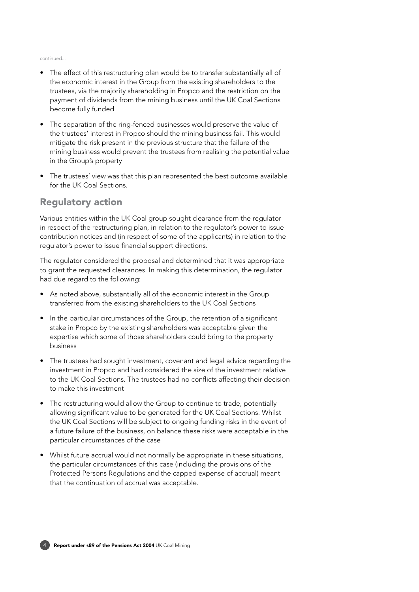#### continued...

- The effect of this restructuring plan would be to transfer substantially all of the economic interest in the Group from the existing shareholders to the trustees, via the majority shareholding in Propco and the restriction on the payment of dividends from the mining business until the UK Coal Sections become fully funded
- The separation of the ring-fenced businesses would preserve the value of the trustees' interest in Propco should the mining business fail. This would mitigate the risk present in the previous structure that the failure of the mining business would prevent the trustees from realising the potential value in the Group's property
- The trustees' view was that this plan represented the best outcome available for the UK Coal Sections.

### Regulatory action

Various entities within the UK Coal group sought clearance from the regulator in respect of the restructuring plan, in relation to the regulator's power to issue contribution notices and (in respect of some of the applicants) in relation to the regulator's power to issue fnancial support directions.

The regulator considered the proposal and determined that it was appropriate to grant the requested clearances. In making this determination, the regulator had due regard to the following:

- As noted above, substantially all of the economic interest in the Group transferred from the existing shareholders to the UK Coal Sections
- In the particular circumstances of the Group, the retention of a significant stake in Propco by the existing shareholders was acceptable given the expertise which some of those shareholders could bring to the property business
- The trustees had sought investment, covenant and legal advice regarding the investment in Propco and had considered the size of the investment relative to the UK Coal Sections. The trustees had no conficts affecting their decision to make this investment
- The restructuring would allow the Group to continue to trade, potentially allowing signifcant value to be generated for the UK Coal Sections. Whilst the UK Coal Sections will be subject to ongoing funding risks in the event of a future failure of the business, on balance these risks were acceptable in the particular circumstances of the case
- Whilst future accrual would not normally be appropriate in these situations, the particular circumstances of this case (including the provisions of the Protected Persons Regulations and the capped expense of accrual) meant that the continuation of accrual was acceptable.